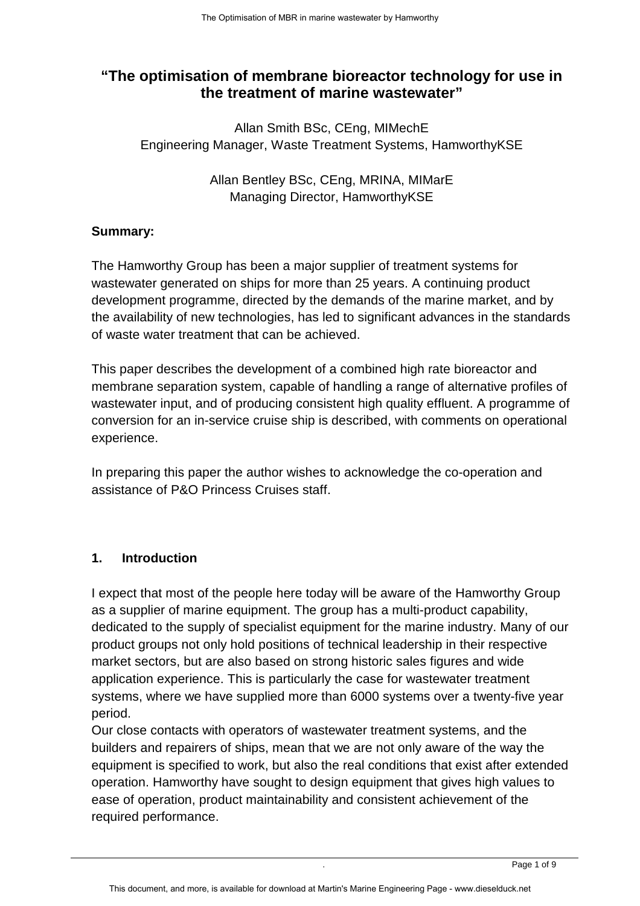# **"The optimisation of membrane bioreactor technology for use in the treatment of marine wastewater"**

Allan Smith BSc, CEng, MIMechE Engineering Manager, Waste Treatment Systems, HamworthyKSE

> Allan Bentley BSc, CEng, MRINA, MIMarE Managing Director, HamworthyKSE

## **Summary:**

The Hamworthy Group has been a major supplier of treatment systems for wastewater generated on ships for more than 25 years. A continuing product development programme, directed by the demands of the marine market, and by the availability of new technologies, has led to significant advances in the standards of waste water treatment that can be achieved.

This paper describes the development of a combined high rate bioreactor and membrane separation system, capable of handling a range of alternative profiles of wastewater input, and of producing consistent high quality effluent. A programme of conversion for an in-service cruise ship is described, with comments on operational experience.

In preparing this paper the author wishes to acknowledge the co-operation and assistance of P&O Princess Cruises staff.

## **1. Introduction**

I expect that most of the people here today will be aware of the Hamworthy Group as a supplier of marine equipment. The group has a multi-product capability, dedicated to the supply of specialist equipment for the marine industry. Many of our product groups not only hold positions of technical leadership in their respective market sectors, but are also based on strong historic sales figures and wide application experience. This is particularly the case for wastewater treatment systems, where we have supplied more than 6000 systems over a twenty-five year period.

Our close contacts with operators of wastewater treatment systems, and the builders and repairers of ships, mean that we are not only aware of the way the equipment is specified to work, but also the real conditions that exist after extended operation. Hamworthy have sought to design equipment that gives high values to ease of operation, product maintainability and consistent achievement of the required performance.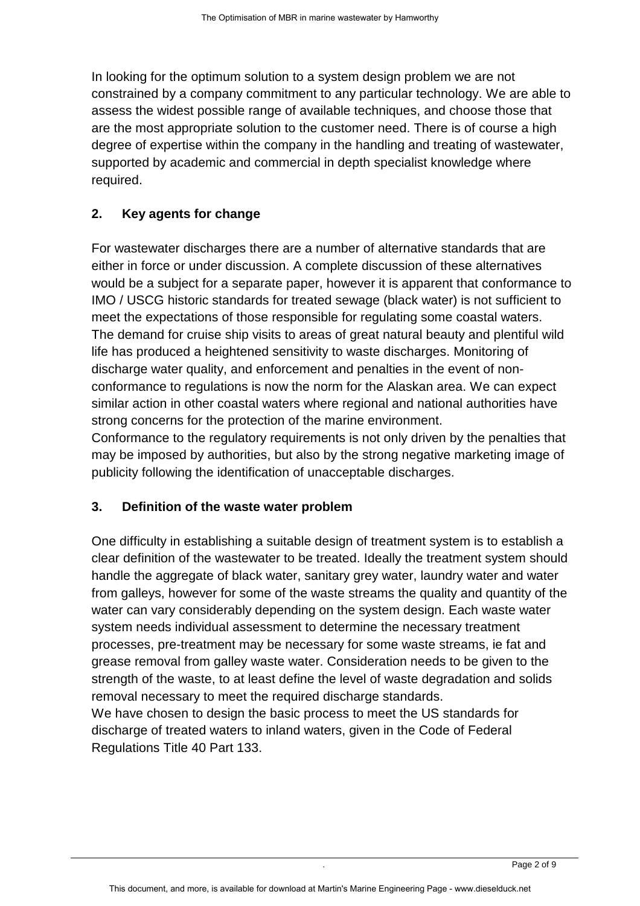In looking for the optimum solution to a system design problem we are not constrained by a company commitment to any particular technology. We are able to assess the widest possible range of available techniques, and choose those that are the most appropriate solution to the customer need. There is of course a high degree of expertise within the company in the handling and treating of wastewater, supported by academic and commercial in depth specialist knowledge where required.

## **2. Key agents for change**

For wastewater discharges there are a number of alternative standards that are either in force or under discussion. A complete discussion of these alternatives would be a subject for a separate paper, however it is apparent that conformance to IMO / USCG historic standards for treated sewage (black water) is not sufficient to meet the expectations of those responsible for regulating some coastal waters. The demand for cruise ship visits to areas of great natural beauty and plentiful wild life has produced a heightened sensitivity to waste discharges. Monitoring of discharge water quality, and enforcement and penalties in the event of nonconformance to regulations is now the norm for the Alaskan area. We can expect similar action in other coastal waters where regional and national authorities have strong concerns for the protection of the marine environment.

Conformance to the regulatory requirements is not only driven by the penalties that may be imposed by authorities, but also by the strong negative marketing image of publicity following the identification of unacceptable discharges.

### **3. Definition of the waste water problem**

One difficulty in establishing a suitable design of treatment system is to establish a clear definition of the wastewater to be treated. Ideally the treatment system should handle the aggregate of black water, sanitary grey water, laundry water and water from galleys, however for some of the waste streams the quality and quantity of the water can vary considerably depending on the system design. Each waste water system needs individual assessment to determine the necessary treatment processes, pre-treatment may be necessary for some waste streams, ie fat and grease removal from galley waste water. Consideration needs to be given to the strength of the waste, to at least define the level of waste degradation and solids removal necessary to meet the required discharge standards. We have chosen to design the basic process to meet the US standards for

discharge of treated waters to inland waters, given in the Code of Federal Regulations Title 40 Part 133.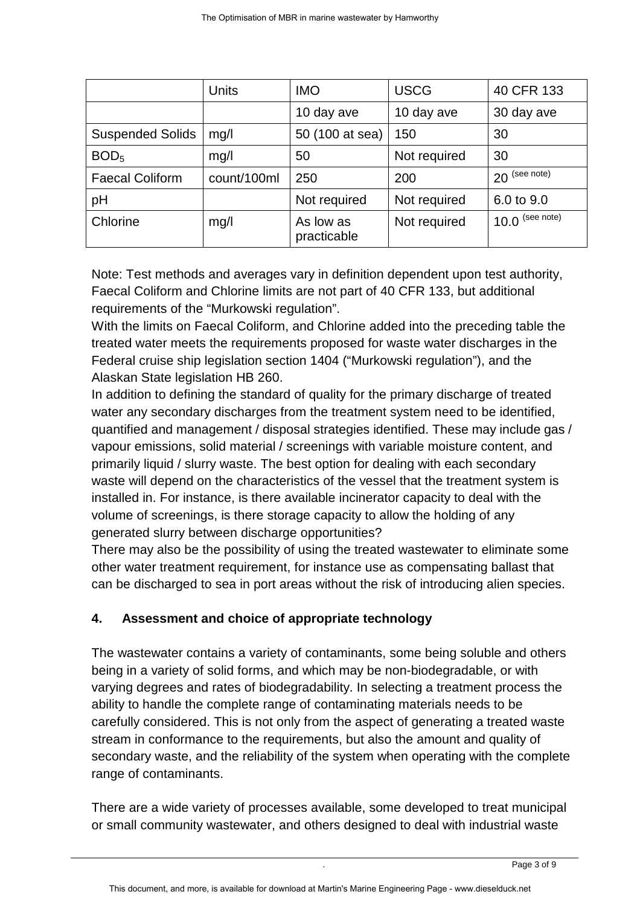|                         | <b>Units</b> | <b>IMO</b>               | <b>USCG</b>  | 40 CFR 133        |
|-------------------------|--------------|--------------------------|--------------|-------------------|
|                         |              | 10 day ave               | 10 day ave   | 30 day ave        |
| <b>Suspended Solids</b> | mg/l         | 50 (100 at sea)          | 150          | 30                |
| BOD <sub>5</sub>        | mg/l         | 50                       | Not required | 30                |
| <b>Faecal Coliform</b>  | count/100ml  | 250                      | 200          | $20$ (see note)   |
| pH                      |              | Not required             | Not required | 6.0 to 9.0        |
| Chlorine                | mg/l         | As low as<br>practicable | Not required | $10.0$ (see note) |

Note: Test methods and averages vary in definition dependent upon test authority, Faecal Coliform and Chlorine limits are not part of 40 CFR 133, but additional requirements of the "Murkowski regulation".

With the limits on Faecal Coliform, and Chlorine added into the preceding table the treated water meets the requirements proposed for waste water discharges in the Federal cruise ship legislation section 1404 ("Murkowski regulation"), and the Alaskan State legislation HB 260.

In addition to defining the standard of quality for the primary discharge of treated water any secondary discharges from the treatment system need to be identified, quantified and management / disposal strategies identified. These may include gas / vapour emissions, solid material / screenings with variable moisture content, and primarily liquid / slurry waste. The best option for dealing with each secondary waste will depend on the characteristics of the vessel that the treatment system is installed in. For instance, is there available incinerator capacity to deal with the volume of screenings, is there storage capacity to allow the holding of any generated slurry between discharge opportunities?

There may also be the possibility of using the treated wastewater to eliminate some other water treatment requirement, for instance use as compensating ballast that can be discharged to sea in port areas without the risk of introducing alien species.

## **4. Assessment and choice of appropriate technology**

The wastewater contains a variety of contaminants, some being soluble and others being in a variety of solid forms, and which may be non-biodegradable, or with varying degrees and rates of biodegradability. In selecting a treatment process the ability to handle the complete range of contaminating materials needs to be carefully considered. This is not only from the aspect of generating a treated waste stream in conformance to the requirements, but also the amount and quality of secondary waste, and the reliability of the system when operating with the complete range of contaminants.

There are a wide variety of processes available, some developed to treat municipal or small community wastewater, and others designed to deal with industrial waste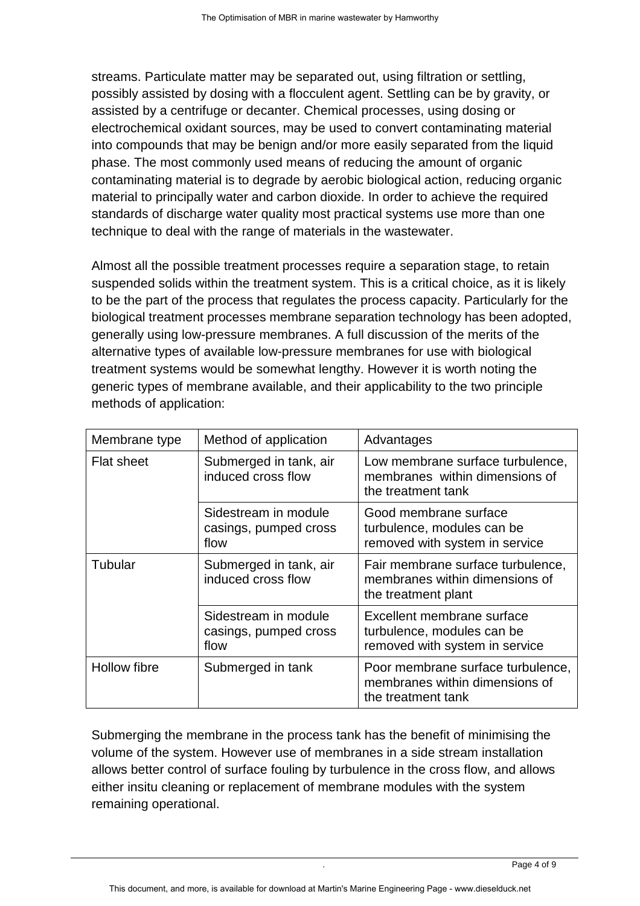streams. Particulate matter may be separated out, using filtration or settling, possibly assisted by dosing with a flocculent agent. Settling can be by gravity, or assisted by a centrifuge or decanter. Chemical processes, using dosing or electrochemical oxidant sources, may be used to convert contaminating material into compounds that may be benign and/or more easily separated from the liquid phase. The most commonly used means of reducing the amount of organic contaminating material is to degrade by aerobic biological action, reducing organic material to principally water and carbon dioxide. In order to achieve the required standards of discharge water quality most practical systems use more than one technique to deal with the range of materials in the wastewater.

Almost all the possible treatment processes require a separation stage, to retain suspended solids within the treatment system. This is a critical choice, as it is likely to be the part of the process that regulates the process capacity. Particularly for the biological treatment processes membrane separation technology has been adopted, generally using low-pressure membranes. A full discussion of the merits of the alternative types of available low-pressure membranes for use with biological treatment systems would be somewhat lengthy. However it is worth noting the generic types of membrane available, and their applicability to the two principle methods of application:

| Membrane type     | Method of application                                 | Advantages                                                                                 |  |
|-------------------|-------------------------------------------------------|--------------------------------------------------------------------------------------------|--|
| <b>Flat sheet</b> | Submerged in tank, air<br>induced cross flow          | Low membrane surface turbulence,<br>membranes within dimensions of<br>the treatment tank   |  |
|                   | Sidestream in module<br>casings, pumped cross<br>flow | Good membrane surface<br>turbulence, modules can be<br>removed with system in service      |  |
| Tubular           | Submerged in tank, air<br>induced cross flow          | Fair membrane surface turbulence,<br>membranes within dimensions of<br>the treatment plant |  |
|                   | Sidestream in module<br>casings, pumped cross<br>flow | Excellent membrane surface<br>turbulence, modules can be<br>removed with system in service |  |
| Hollow fibre      | Submerged in tank                                     | Poor membrane surface turbulence,<br>membranes within dimensions of<br>the treatment tank  |  |

Submerging the membrane in the process tank has the benefit of minimising the volume of the system. However use of membranes in a side stream installation allows better control of surface fouling by turbulence in the cross flow, and allows either insitu cleaning or replacement of membrane modules with the system remaining operational.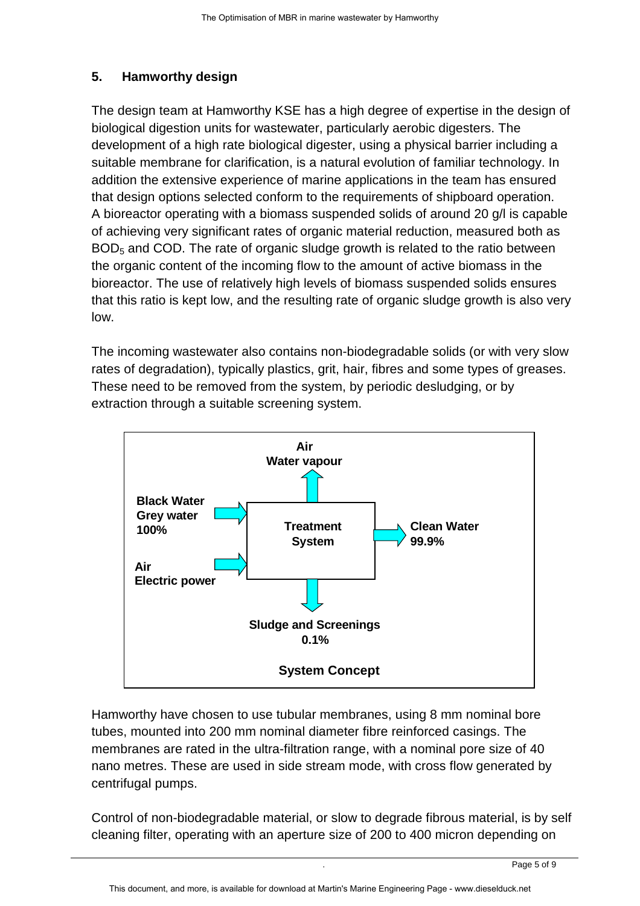### **5. Hamworthy design**

The design team at Hamworthy KSE has a high degree of expertise in the design of biological digestion units for wastewater, particularly aerobic digesters. The development of a high rate biological digester, using a physical barrier including a suitable membrane for clarification, is a natural evolution of familiar technology. In addition the extensive experience of marine applications in the team has ensured that design options selected conform to the requirements of shipboard operation. A bioreactor operating with a biomass suspended solids of around 20 g/l is capable of achieving very significant rates of organic material reduction, measured both as BOD<sub>5</sub> and COD. The rate of organic sludge growth is related to the ratio between the organic content of the incoming flow to the amount of active biomass in the bioreactor. The use of relatively high levels of biomass suspended solids ensures that this ratio is kept low, and the resulting rate of organic sludge growth is also very low.

The incoming wastewater also contains non-biodegradable solids (or with very slow rates of degradation), typically plastics, grit, hair, fibres and some types of greases. These need to be removed from the system, by periodic desludging, or by extraction through a suitable screening system.



Hamworthy have chosen to use tubular membranes, using 8 mm nominal bore tubes, mounted into 200 mm nominal diameter fibre reinforced casings. The membranes are rated in the ultra-filtration range, with a nominal pore size of 40 nano metres. These are used in side stream mode, with cross flow generated by centrifugal pumps.

Control of non-biodegradable material, or slow to degrade fibrous material, is by self cleaning filter, operating with an aperture size of 200 to 400 micron depending on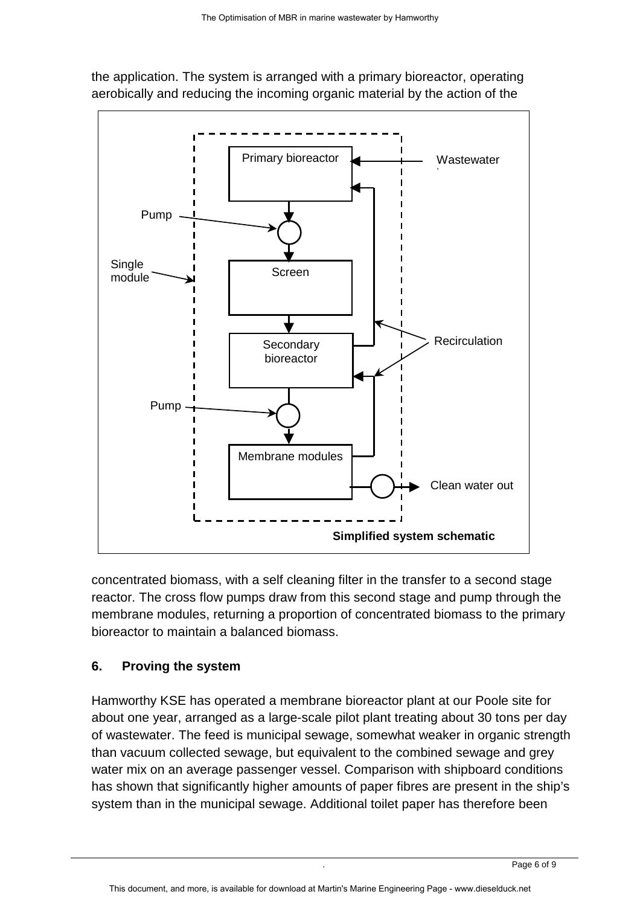

the application. The system is arranged with a primary bioreactor, operating aerobically and reducing the incoming organic material by the action of the

concentrated biomass, with a self cleaning filter in the transfer to a second stage reactor. The cross flow pumps draw from this second stage and pump through the membrane modules, returning a proportion of concentrated biomass to the primary bioreactor to maintain a balanced biomass.

### **6. Proving the system**

Hamworthy KSE has operated a membrane bioreactor plant at our Poole site for about one year, arranged as a large-scale pilot plant treating about 30 tons per day of wastewater. The feed is municipal sewage, somewhat weaker in organic strength than vacuum collected sewage, but equivalent to the combined sewage and grey water mix on an average passenger vessel. Comparison with shipboard conditions has shown that significantly higher amounts of paper fibres are present in the ship's system than in the municipal sewage. Additional toilet paper has therefore been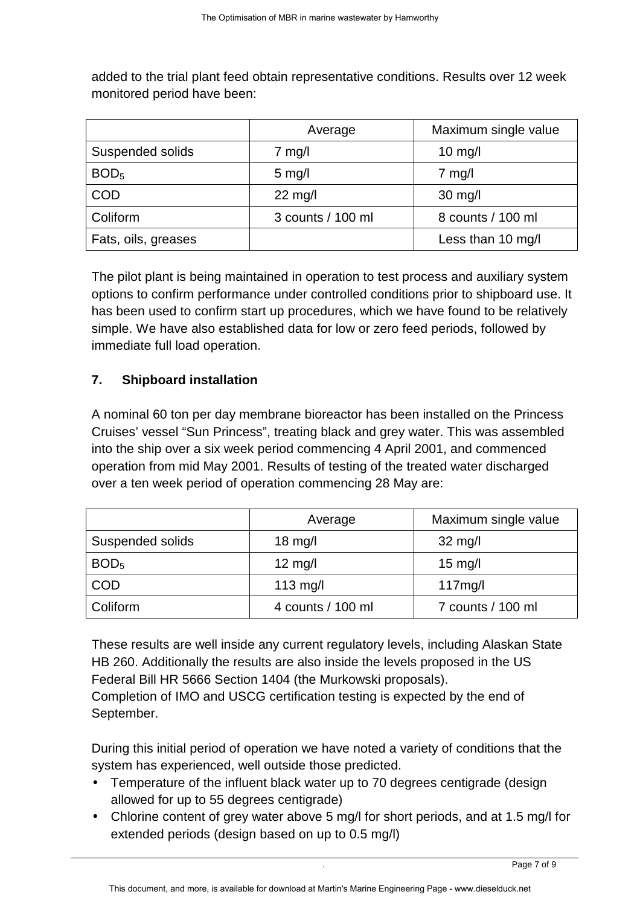added to the trial plant feed obtain representative conditions. Results over 12 week monitored period have been:

|                     | Average           | Maximum single value |
|---------------------|-------------------|----------------------|
| Suspended solids    | $7$ mg/l          | $10$ mg/l            |
| BOD <sub>5</sub>    | $5 \text{ mg/l}$  | $7$ mg/l             |
| <b>COD</b>          | $22$ mg/l         | $30$ mg/l            |
| Coliform            | 3 counts / 100 ml | 8 counts / 100 ml    |
| Fats, oils, greases |                   | Less than 10 mg/l    |

The pilot plant is being maintained in operation to test process and auxiliary system options to confirm performance under controlled conditions prior to shipboard use. It has been used to confirm start up procedures, which we have found to be relatively simple. We have also established data for low or zero feed periods, followed by immediate full load operation.

## **7. Shipboard installation**

A nominal 60 ton per day membrane bioreactor has been installed on the Princess Cruises' vessel "Sun Princess", treating black and grey water. This was assembled into the ship over a six week period commencing 4 April 2001, and commenced operation from mid May 2001. Results of testing of the treated water discharged over a ten week period of operation commencing 28 May are:

|                  | Average           | Maximum single value |
|------------------|-------------------|----------------------|
| Suspended solids | $18$ mg/l         | $32 \text{ mg/l}$    |
| BOD <sub>5</sub> | $12$ mg/l         | $15 \text{ mg/l}$    |
| COD              | $113$ mg/l        | 117mg/l              |
| Coliform         | 4 counts / 100 ml | 7 counts / 100 ml    |

These results are well inside any current regulatory levels, including Alaskan State HB 260. Additionally the results are also inside the levels proposed in the US Federal Bill HR 5666 Section 1404 (the Murkowski proposals). Completion of IMO and USCG certification testing is expected by the end of September.

During this initial period of operation we have noted a variety of conditions that the system has experienced, well outside those predicted.

- Temperature of the influent black water up to 70 degrees centigrade (design allowed for up to 55 degrees centigrade)
- Chlorine content of grey water above 5 mg/l for short periods, and at 1.5 mg/l for extended periods (design based on up to 0.5 mg/l)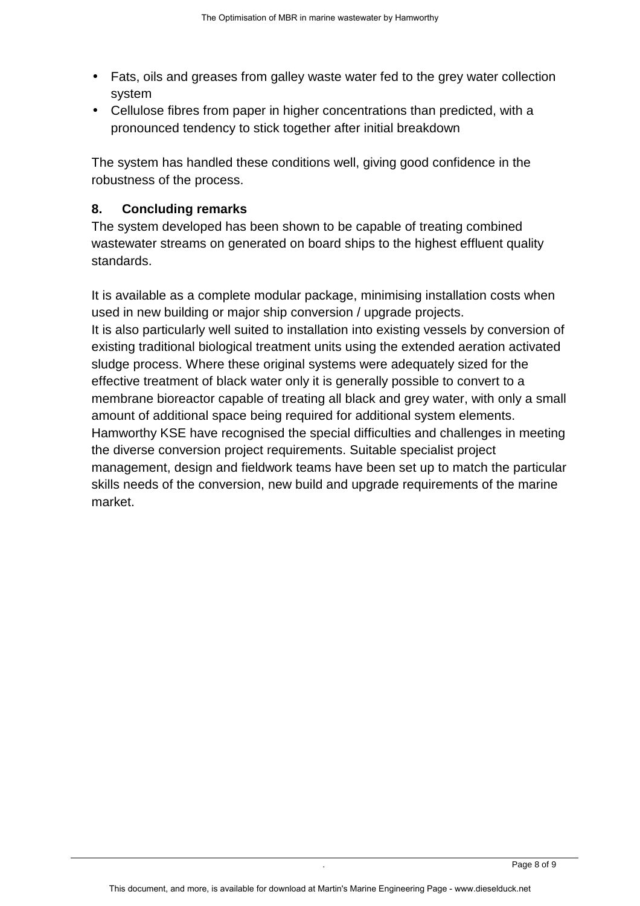- Fats, oils and greases from galley waste water fed to the grey water collection system
- Cellulose fibres from paper in higher concentrations than predicted, with a pronounced tendency to stick together after initial breakdown

The system has handled these conditions well, giving good confidence in the robustness of the process.

## **8. Concluding remarks**

The system developed has been shown to be capable of treating combined wastewater streams on generated on board ships to the highest effluent quality standards.

It is available as a complete modular package, minimising installation costs when used in new building or major ship conversion / upgrade projects. It is also particularly well suited to installation into existing vessels by conversion of existing traditional biological treatment units using the extended aeration activated sludge process. Where these original systems were adequately sized for the effective treatment of black water only it is generally possible to convert to a membrane bioreactor capable of treating all black and grey water, with only a small amount of additional space being required for additional system elements. Hamworthy KSE have recognised the special difficulties and challenges in meeting the diverse conversion project requirements. Suitable specialist project management, design and fieldwork teams have been set up to match the particular skills needs of the conversion, new build and upgrade requirements of the marine market.